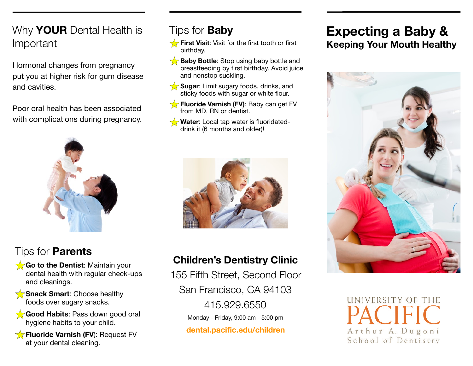#### Why **YOUR** Dental Health is Important

Hormonal changes from pregnancy put you at higher risk for gum disease and cavities.

Poor oral health has been associated with complications during pregnancy.



#### Tips for **Parents**

- **Go to the Dentist:** Maintain your dental health with regular check-ups and cleanings.
- **Snack Smart**: Choose healthy foods over sugary snacks.
- **Good Habits**: Pass down good oral hygiene habits to your child.

**Fluoride Varnish (FV): Request FV** at your dental cleaning.

#### Tips for **Baby**

- **First Visit:** Visit for the first tooth or first birthday.
- **Baby Bottle**: Stop using baby bottle and breastfeeding by first birthday. Avoid juice and nonstop suckling.
- **Sugar**: Limit sugary foods, drinks, and 57 sticky foods with sugar or white flour.
- **Fluoride Varnish (FV)**: Baby can get FV from MD, RN or dentist.
- **Water**: Local tap water is fluoridateddrink it (6 months and older)!



#### **Children's Dentistry Clinic**

155 Fifth Street, Second Floor San Francisco, CA 94103 415.929.6550 Monday - Friday, 9:00 am - 5:00 pm **[dental.pacific.edu/children](http://dental.pacific.edu/children)**

### **Expecting a Baby & Keeping Your Mouth Healthy**



UNIVERSITY OF THE Arthur A. Dugoni School of Dentistry